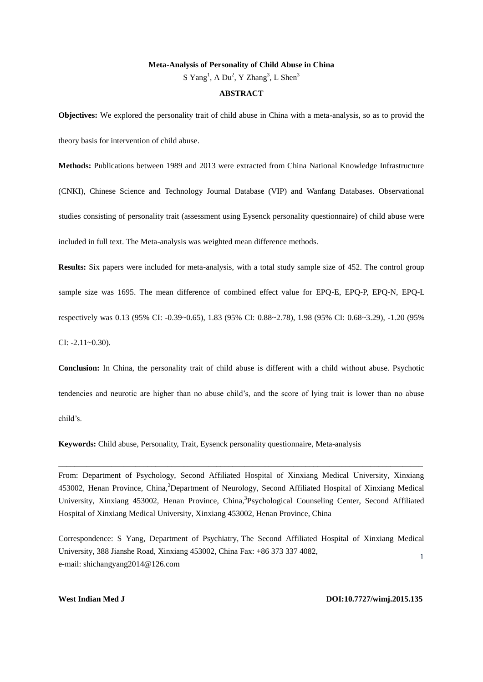#### **Meta-Analysis of Personality of Child Abuse in China**

S Yang<sup>1</sup>, A Du<sup>2</sup>, Y Zhang<sup>3</sup>, L Shen<sup>3</sup>

#### **ABSTRACT**

**Objectives:** We explored the personality trait of child abuse in China with a meta-analysis, so as to provid the theory basis for intervention of child abuse.

**Methods:** Publications between 1989 and 2013 were extracted from China National Knowledge Infrastructure (CNKI), Chinese Science and Technology Journal Database (VIP) and Wanfang Databases. Observational studies consisting of personality trait (assessment using Eysenck personality questionnaire) of child abuse were included in full text. The Meta-analysis was weighted mean difference methods.

**Results:** Six papers were included for meta-analysis, with a total study sample size of 452. The control group sample size was 1695. The mean difference of combined effect value for EPQ-E, EPQ-P, EPQ-N, EPQ-L respectively was 0.13 (95% CI: -0.39~0.65), 1.83 (95% CI: 0.88~2.78), 1.98 (95% CI: 0.68~3.29), -1.20 (95% CI: -2.11~0.30).

**Conclusion:** In China, the personality trait of child abuse is different with a child without abuse. Psychotic tendencies and neurotic are higher than no abuse child's, and the score of lying trait is lower than no abuse child's.

**Keywords:** Child abuse, Personality, Trait, Eysenck personality questionnaire, Meta-analysis

From: Department of Psychology, Second Affiliated Hospital of Xinxiang Medical University, Xinxiang 453002, Henan Province, China,<sup>2</sup>Department of Neurology, Second Affiliated Hospital of Xinxiang Medical University, Xinxiang 453002, Henan Province, China,<sup>3</sup>Psychological Counseling Center, Second Affiliated Hospital of Xinxiang Medical University, Xinxiang 453002, Henan Province, China

\_\_\_\_\_\_\_\_\_\_\_\_\_\_\_\_\_\_\_\_\_\_\_\_\_\_\_\_\_\_\_\_\_\_\_\_\_\_\_\_\_\_\_\_\_\_\_\_\_\_\_\_\_\_\_\_\_\_\_\_\_\_\_\_\_\_\_\_\_\_\_\_\_\_\_\_\_\_\_\_\_\_\_\_\_\_\_\_\_\_

1 Correspondence: S Yang, Department of Psychiatry, The Second Affiliated Hospital of Xinxiang Medical University, 388 Jianshe Road, Xinxiang 453002, China Fax: +86 373 337 4082, e-mail: [shichangyang2014@126.com](mailto:shichangyang2014@126.com)

**West Indian Med J DOI:10.7727/wimj.2015.135**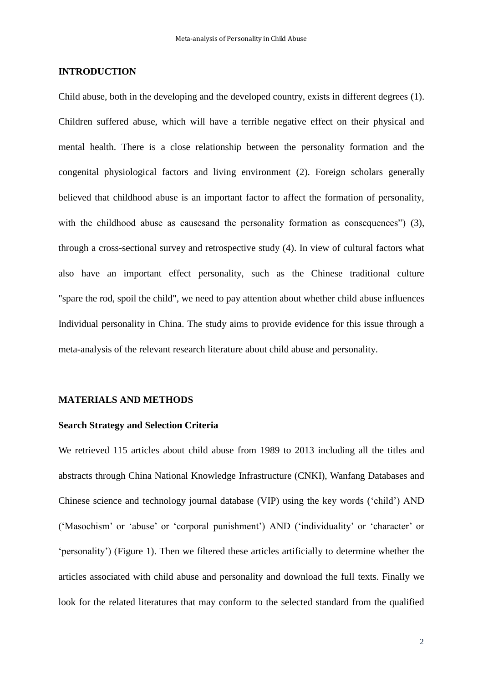## **INTRODUCTION**

Child abuse, both in the developing and the developed country, exists in different degrees (1). Children suffered abuse, which will have a terrible negative effect on their physical and mental health. There is a close relationship between the personality formation and the congenital physiological factors and living environment (2). Foreign scholars generally believed that childhood abuse is an important factor to affect the formation of personality, with the childhood abuse as causes and the personality formation as consequences" (3), through a cross-sectional survey and retrospective study (4). In view of cultural factors what also have an important effect personality, such as the Chinese traditional culture "spare the rod, spoil the child", we need to pay attention about whether child abuse influences Individual personality in China. The study aims to provide evidence for this issue through a meta-analysis of the relevant research literature about child abuse and personality.

## **MATERIALS AND METHODS**

## **Search Strategy and Selection Criteria**

We retrieved 115 articles about child abuse from 1989 to 2013 including all the titles and abstracts through China National Knowledge Infrastructure (CNKI), Wanfang Databases and Chinese science and technology journal database (VIP) using the key words ('child') AND ('Masochism' or 'abuse' or 'corporal punishment') AND ('individuality' or 'character' or 'personality') (Figure 1). Then we filtered these articles artificially to determine whether the articles associated with child abuse and personality and download the full texts. Finally we look for the related literatures that may conform to the selected standard from the qualified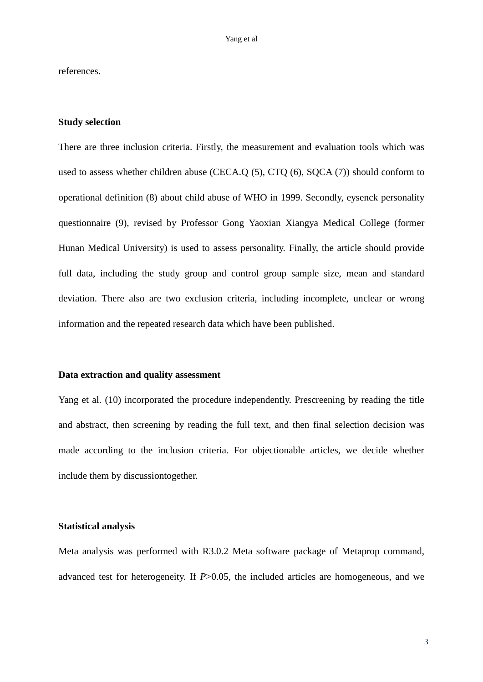references.

# **Study selection**

There are three inclusion criteria. Firstly, the measurement and evaluation tools which was used to assess whether children abuse (CECA.Q (5), CTQ (6), SQCA (7)) should conform to operational definition (8) about child abuse of WHO in 1999. Secondly, eysenck personality questionnaire (9), revised by Professor Gong Yaoxian Xiangya Medical College (former Hunan Medical University) is used to assess personality. Finally, the article should provide full data, including the study group and control group sample size, mean and standard deviation. There also are two exclusion criteria, including incomplete, unclear or wrong information and the repeated research data which have been published.

### **Data extraction and quality assessment**

Yang et al. (10) incorporated the procedure independently. Prescreening by reading the title and abstract, then screening by reading the full text, and then final selection decision was made according to the inclusion criteria. For objectionable articles, we decide whether include them by discussiontogether.

### **Statistical analysis**

Meta analysis was performed with R3.0.2 Meta software package of Metaprop command, advanced test for heterogeneity. If *P*>0.05, the included articles are homogeneous, and we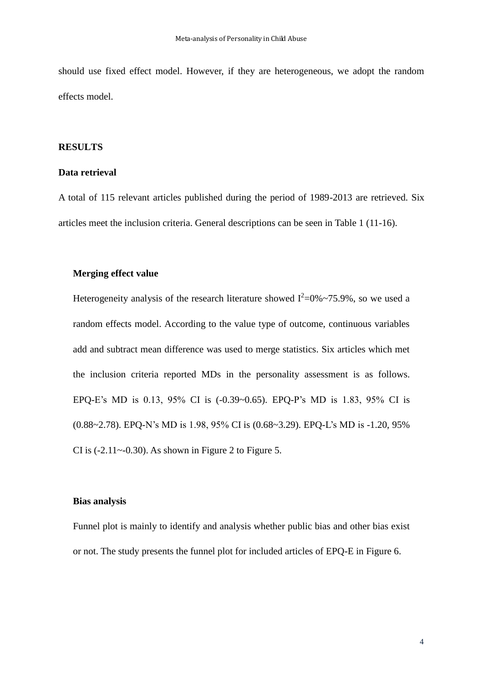should use fixed effect model. However, if they are heterogeneous, we adopt the random effects model.

# **RESULTS**

## **Data retrieval**

A total of 115 relevant articles published during the period of 1989-2013 are retrieved. Six articles meet the inclusion criteria. General descriptions can be seen in Table 1 (11-16).

## **Merging effect value**

Heterogeneity analysis of the research literature showed  $I^2$ =0%~75.9%, so we used a random effects model. According to the value type of outcome, continuous variables add and subtract mean difference was used to merge statistics. Six articles which met the inclusion criteria reported MDs in the personality assessment is as follows. EPQ-E's MD is 0.13, 95% CI is (-0.39~0.65). EPQ-P's MD is 1.83, 95% CI is (0.88~2.78). EPQ-N's MD is 1.98, 95% CI is (0.68~3.29). EPQ-L's MD is -1.20, 95% CI is  $(-2.11 - 0.30)$ . As shown in Figure 2 to Figure 5.

## **Bias analysis**

Funnel plot is mainly to identify and analysis whether public bias and other bias exist or not. The study presents the funnel plot for included articles of EPQ-E in Figure 6.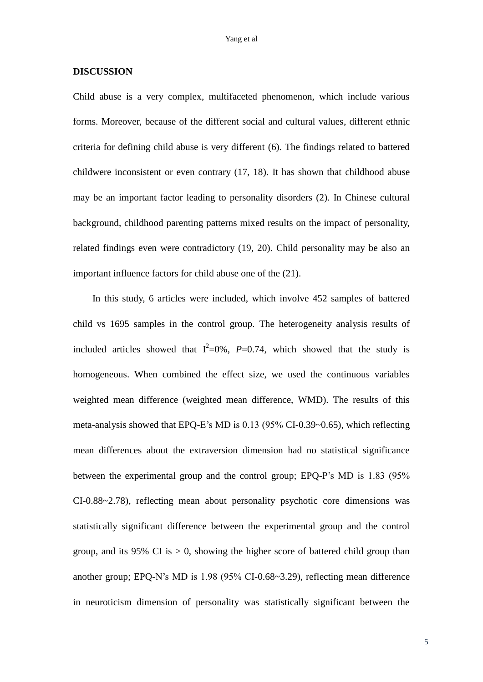## **DISCUSSION**

Child abuse is a very complex, multifaceted phenomenon, which include various forms. Moreover, because of the different social and cultural values, different ethnic criteria for defining child abuse is very different (6). The findings related to battered childwere inconsistent or even contrary (17, 18). It has shown that childhood abuse may be an important factor leading to personality disorders (2). In Chinese cultural background, childhood parenting patterns mixed results on the impact of personality, related findings even were contradictory (19, 20). Child personality may be also an important influence factors for child abuse one of the (21).

In this study, 6 articles were included, which involve 452 samples of battered child vs 1695 samples in the control group. The heterogeneity analysis results of included articles showed that  $I^2=0\%$ ,  $P=0.74$ , which showed that the study is homogeneous. When combined the effect size, we used the continuous variables weighted mean difference (weighted mean difference, WMD). The results of this meta-analysis showed that EPQ-E's MD is 0.13 (95% CI-0.39~0.65), which reflecting mean differences about the extraversion dimension had no statistical significance between the experimental group and the control group; EPQ-P's MD is 1.83 (95% CI-0.88~2.78), reflecting mean about personality psychotic core dimensions was statistically significant difference between the experimental group and the control group, and its  $95\%$  CI is  $> 0$ , showing the higher score of battered child group than another group; EPQ-N's MD is 1.98 (95% CI-0.68~3.29), reflecting mean difference in neuroticism dimension of personality was statistically significant between the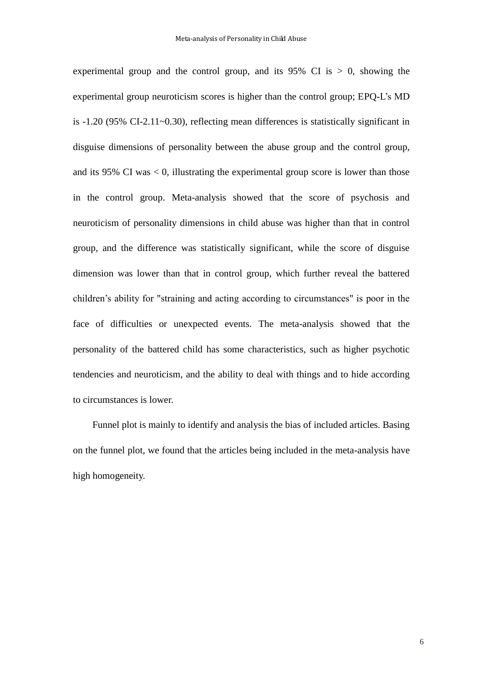experimental group and the control group, and its  $95\%$  CI is  $> 0$ , showing the experimental group neuroticism scores is higher than the control group; EPQ-L's MD is -1.20 (95% CI-2.11~0.30), reflecting mean differences is statistically significant in disguise dimensions of personality between the abuse group and the control group, and its 95% CI was < 0, illustrating the experimental group score is lower than those in the control group. Meta-analysis showed that the score of psychosis and neuroticism of personality dimensions in child abuse was higher than that in control group, and the difference was statistically significant, while the score of disguise dimension was lower than that in control group, which further reveal the battered children's ability for "straining and acting according to circumstances" is poor in the face of difficulties or unexpected events. The meta-analysis showed that the personality of the battered child has some characteristics, such as higher psychotic tendencies and neuroticism, and the ability to deal with things and to hide according to circumstances is lower.

Funnel plot is mainly to identify and analysis the bias of included articles. Basing on the funnel plot, we found that the articles being included in the meta-analysis have high homogeneity.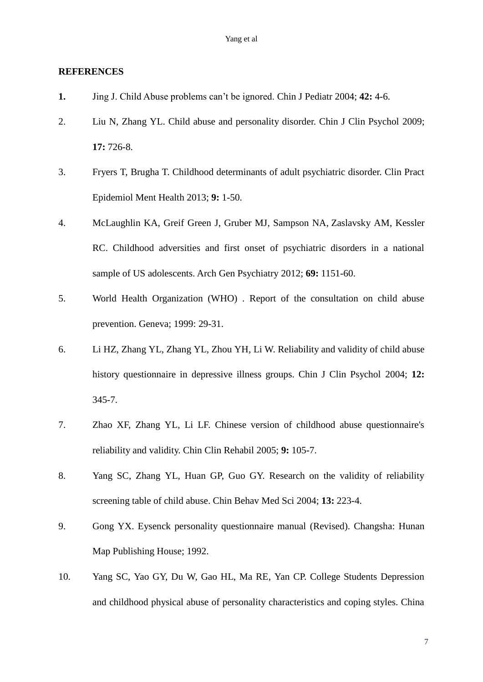## **REFERENCES**

- **1.** Jing J. Child Abuse problems can't be ignored. Chin J Pediatr 2004; **42:** 4-6.
- 2. Liu N, Zhang YL. Child abuse and personality disorder. Chin J Clin Psychol 2009; **17:** 726-8.
- 3. Fryers T, Brugha T. Childhood determinants of adult psychiatric disorder. Clin Pract Epidemiol Ment Health 2013; **9:** 1-50.
- 4. McLaughlin KA, Greif Green J, Gruber MJ, Sampson NA, Zaslavsky AM, Kessler RC. Childhood adversities and first onset of psychiatric disorders in a national sample of US adolescents. Arch Gen Psychiatry 2012; **69:** 1151-60.
- 5. World Health Organization (WHO) . Report of the consultation on child abuse prevention. Geneva; 1999: 29-31.
- 6. Li HZ, Zhang YL, Zhang YL, Zhou YH, Li W. Reliability and validity of child abuse history questionnaire in depressive illness groups. Chin J Clin Psychol 2004; **12:** 345-7.
- 7. Zhao XF, Zhang YL, Li LF. Chinese version of childhood abuse questionnaire's reliability and validity. Chin Clin Rehabil 2005; **9:** 105-7.
- 8. Yang SC, Zhang YL, Huan GP, Guo GY. Research on the validity of reliability screening table of child abuse. Chin Behav Med Sci 2004; **13:** 223-4.
- 9. Gong YX. Eysenck personality questionnaire manual (Revised). Changsha: Hunan Map Publishing House; 1992.
- 10. Yang SC, Yao GY, Du W, Gao HL, Ma RE, Yan CP. College Students Depression and childhood physical abuse of personality characteristics and coping styles. China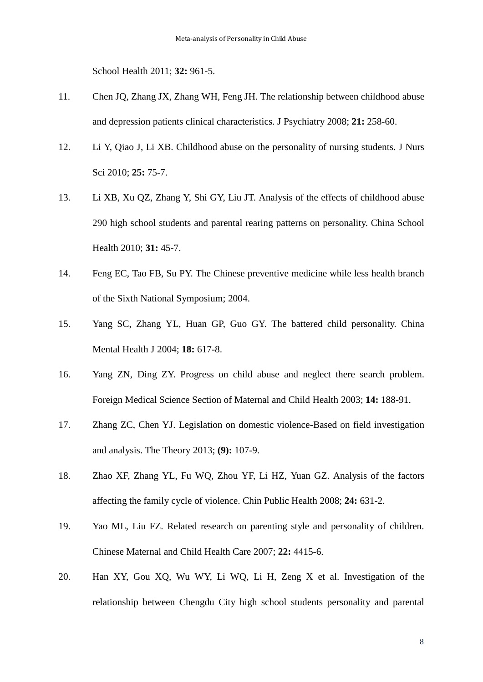School Health 2011; **32:** 961-5.

- 11. Chen JQ, Zhang JX, Zhang WH, Feng JH. The relationship between childhood abuse and depression patients clinical characteristics. J Psychiatry 2008; **21:** 258-60.
- 12. Li Y, Qiao J, Li XB. Childhood abuse on the personality of nursing students. J Nurs Sci 2010; **25:** 75-7.
- 13. Li XB, Xu QZ, Zhang Y, Shi GY, Liu JT. Analysis of the effects of childhood abuse 290 high school students and parental rearing patterns on personality. China School Health 2010; **31:** 45-7.
- 14. Feng EC, Tao FB, Su PY. The Chinese preventive medicine while less health branch of the Sixth National Symposium; 2004.
- 15. Yang SC, Zhang YL, Huan GP, Guo GY. The battered child personality. China Mental Health J 2004; **18:** 617-8.
- 16. Yang ZN, Ding ZY. Progress on child abuse and neglect there search problem. Foreign Medical Science Section of Maternal and Child Health 2003; **14:** 188-91.
- 17. Zhang ZC, Chen YJ. Legislation on domestic violence-Based on field investigation and analysis. The Theory 2013; **(9):** 107-9.
- 18. Zhao XF, Zhang YL, Fu WQ, Zhou YF, Li HZ, Yuan GZ. Analysis of the factors affecting the family cycle of violence. Chin Public Health 2008; **24:** 631-2.
- 19. Yao ML, Liu FZ. Related research on parenting style and personality of children. Chinese Maternal and Child Health Care 2007; **22:** 4415-6.
- 20. Han XY, Gou XQ, Wu WY, Li WQ, Li H, Zeng X et al. Investigation of the relationship between Chengdu City high school students personality and parental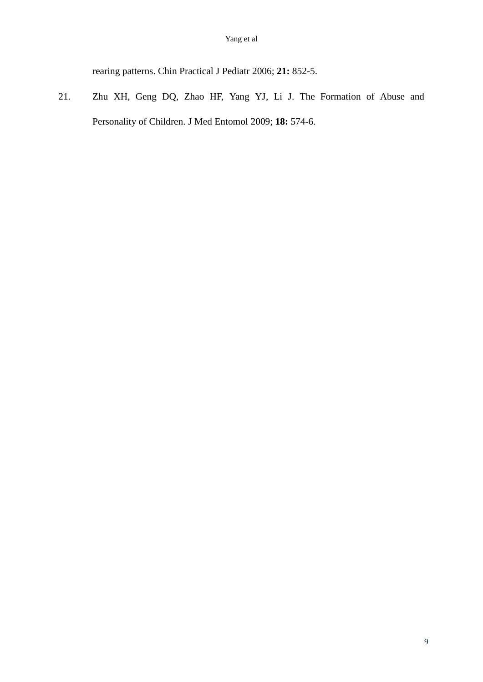rearing patterns. Chin Practical J Pediatr 2006; **21:** 852-5.

21. Zhu XH, Geng DQ, Zhao HF, Yang YJ, Li J. The Formation of Abuse and Personality of Children. J Med Entomol 2009; **18:** 574-6.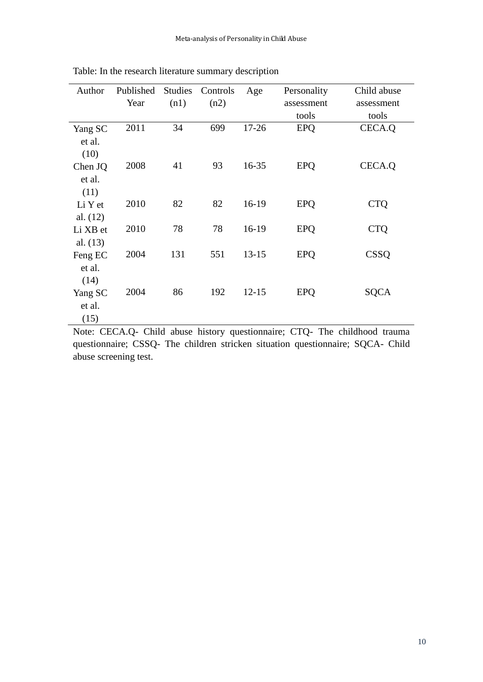| Author     | Published | <b>Studies</b> | Controls | Age       | Personality | Child abuse |
|------------|-----------|----------------|----------|-----------|-------------|-------------|
|            | Year      | (n1)           | (n2)     |           | assessment  | assessment  |
|            |           |                |          |           | tools       | tools       |
| Yang SC    | 2011      | 34             | 699      | $17 - 26$ | <b>EPQ</b>  | CECA.Q      |
| et al.     |           |                |          |           |             |             |
| (10)       |           |                |          |           |             |             |
| Chen JQ    | 2008      | 41             | 93       | 16-35     | <b>EPQ</b>  | CECA.Q      |
| et al.     |           |                |          |           |             |             |
| (11)       |           |                |          |           |             |             |
| Li Y et    | 2010      | 82             | 82       | 16-19     | <b>EPQ</b>  | <b>CTQ</b>  |
| al. $(12)$ |           |                |          |           |             |             |
| Li XB et   | 2010      | 78             | 78       | 16-19     | <b>EPQ</b>  | <b>CTQ</b>  |
| al. $(13)$ |           |                |          |           |             |             |
| Feng EC    | 2004      | 131            | 551      | $13 - 15$ | <b>EPQ</b>  | <b>CSSQ</b> |
| et al.     |           |                |          |           |             |             |
| (14)       |           |                |          |           |             |             |
| Yang SC    | 2004      | 86             | 192      | $12 - 15$ | <b>EPQ</b>  | <b>SQCA</b> |
| et al.     |           |                |          |           |             |             |
| (15)       |           |                |          |           |             |             |

Table: In the research literature summary description

Note: CECA.Q- Child abuse history questionnaire; CTQ- The childhood trauma questionnaire; CSSQ- The children stricken situation questionnaire; SQCA- Child abuse screening test.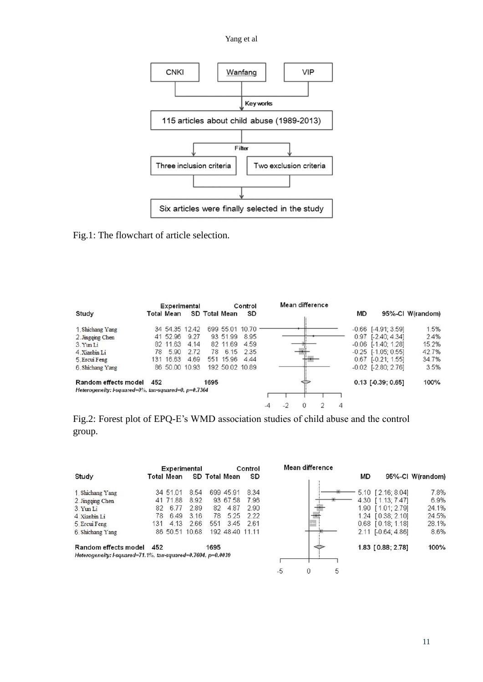Yang et al



Fig.1: The flowchart of article selection.

|                                                      |     | Experimental      |      |      |                      | Control | Mean difference |      |   |   |   |      |                         |                  |
|------------------------------------------------------|-----|-------------------|------|------|----------------------|---------|-----------------|------|---|---|---|------|-------------------------|------------------|
| Study                                                |     | <b>Total Mean</b> |      |      | <b>SD Total Mean</b> | SD      |                 |      |   |   |   | MD   |                         | 95%-CI W(random) |
| 1. Shichang Yang                                     |     | 34 54.35 12.42    |      |      | 699 55.01            | 10.70   |                 |      |   |   |   |      | $-0.66$ $[-4.91, 3.59]$ | 1.5%             |
| 2. Jingqing Chen                                     |     | 41 52.96          | 9.27 |      | 93 51.99             | 8.95    |                 |      |   |   |   | 0.97 | $[-2.40, 4.34]$         | 2.4%             |
| 3. Yun Li                                            | 82  | 11.63             | 4.14 |      | 82 11.69             | 4.59    |                 |      |   |   |   |      | $-0.06$ $[-1.40; 1.28]$ | 15.2%            |
| 4. Xianbin Li                                        | 78  | 5.90              | 2.72 | 78   | 6.15                 | 2.35    |                 |      |   |   |   |      | $-0.25$ $[-1.05, 0.55]$ | 42.7%            |
| 5. Ercui Feng                                        | 131 | 16.63             | 4.69 |      | 551 15.96            | 4.44    |                 |      |   |   |   |      | 0.67 [-0.21; 1.55]      | 34.7%            |
| 6. Shichang Yang                                     |     | 86 50.00 10.93    |      |      | 192 50.02 10.89      |         |                 |      |   |   |   |      | $-0.02$ $[-2.80; 2.76]$ | 3.5%             |
| Random effects model                                 | 452 |                   |      | 1695 |                      |         |                 |      |   |   |   |      | $0.13$ [-0.39; 0.65]    | 100%             |
| Heterogeneity: I-squared=0%, tau-squared=0, p=0.7364 |     |                   |      |      |                      |         |                 |      |   |   |   |      |                         |                  |
|                                                      |     |                   |      |      |                      |         | -4              | $-2$ | 0 | 2 | 4 |      |                         |                  |

Fig.2: Forest plot of EPQ-E's WMD association studies of child abuse and the control group.

|                                                              |     | <b>Experimental</b> |      |      |                      | Control | Mean difference |    |                       |                  |
|--------------------------------------------------------------|-----|---------------------|------|------|----------------------|---------|-----------------|----|-----------------------|------------------|
| Study                                                        |     | Total Mean          |      |      | <b>SD Total Mean</b> | SD      |                 | MD |                       | 95%-CI W(random) |
| 1. Shichang Yang                                             |     | 34 51.01            | 8.54 |      | 699 45.91            | 8.34    |                 |    | 5.10 [2.16: 8.04]     | 7.8%             |
| 2. Jingqing Chen                                             |     | 41 71.88            | 8.92 |      | 93 67.58             | 7.96    |                 |    | 4.30 [1.13; 7.47]     | 6.9%             |
| 3. Yun Li                                                    | 82  | 6.77                | 2.89 | 82   | 4.87                 | 2.90    |                 |    | 1.90 [1.01; 2.79]     | 24.1%            |
| 4. Xianbin Li                                                | 78  | 6.49                | 3.16 | 78   | 5.25                 | 2.22    |                 |    | 1.24 [0.38; 2.10]     | 24.5%            |
| 5. Ercui Feng                                                | 131 | 4.13                | 2.66 | 551  | 3.45                 | 261     |                 |    | $0.68$ $[0.18; 1.18]$ | 28.1%            |
| 6. Shichang Yang                                             |     | 86 50.51 10.68      |      |      | 192 48.40 11.11      |         |                 |    | 2.11 [-0.64; 4.86]    | 8.6%             |
| Random effects model                                         | 452 |                     |      | 1695 |                      |         |                 |    | 1.83 [0.88; 2.78]     | 100%             |
| Heterogeneity: I-squared=71.1%, tau-squared=0.7694, p=0.0039 |     |                     |      |      |                      |         |                 |    |                       |                  |

 $-5$ 

 $\overline{5}$ 

 $\overline{0}$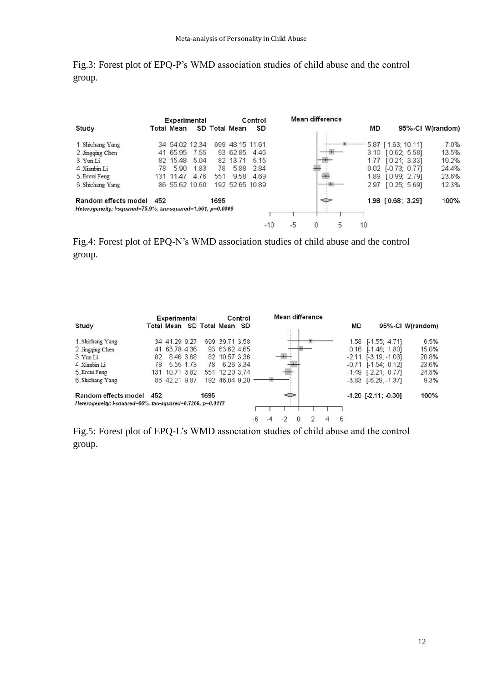Fig.3: Forest plot of EPQ-P's WMD association studies of child abuse and the control group.

|                                                             |     | Experimental   |      | Control |                 |      |       |      | Mean difference |   |      |                    |                  |
|-------------------------------------------------------------|-----|----------------|------|---------|-----------------|------|-------|------|-----------------|---|------|--------------------|------------------|
| Study                                                       |     | Total Mean     |      |         | SD Total Mean   | SD   |       |      |                 |   | MD   |                    | 95%-CI W(random) |
| 1. Shichang Yang                                            | 34  | 54.02 12.34    |      |         | 699 48.15 11.61 |      |       |      |                 |   |      | 5.87 [1.63; 10.11] | 7.0%             |
| 2. Jingqing Chen                                            |     | 41 65.95       | 7.55 |         | 93 62 85        | 4.46 |       |      |                 |   |      | 3.10 [0.62; 5.58]  | 13.5%            |
| 3. Yun Li                                                   | 82  | 15.48          | 5.04 |         | 82 13.71        | 5.15 |       |      |                 |   | 1.77 | [0.21; 3.33]       | 19.2%            |
| 4. Xianbin Li                                               | 78  | 5.90           | 1.83 | 78      | 5.88            | 2.84 |       |      |                 |   | 0.02 | $[-0.73; 0.77]$    | 24.4%            |
| 5. Ercui Feng                                               |     | 131 11.47      | 4.76 | 551     | 9.58            | 4.69 |       |      |                 |   |      | 1.89 [0.99; 2.79]  | 23.6%            |
| 6. Shichang Yang                                            |     | 86 55 62 10 60 |      |         | 192 52.65 10.89 |      |       |      |                 |   | 2.97 | [0.25; 5.69]       | 12.3%            |
| Random effects model                                        | 452 |                |      | 1695    |                 |      |       |      |                 |   |      | 1.98 [0.68; 3.29]  | 100%             |
| Heterogeneity: l-squared=75.9%, tau-squared=1.661, p=0.0009 |     |                |      |         |                 |      |       |      |                 |   |      |                    |                  |
|                                                             |     |                |      |         |                 |      |       |      |                 |   |      |                    |                  |
|                                                             |     |                |      |         |                 |      | $-10$ | $-5$ | 0               | 5 | 10   |                    |                  |

Fig.4: Forest plot of EPQ-N's WMD association studies of child abuse and the control group.

|                                                            |     | Experimental  |           | Control | Mean difference  |  |  |  |  |  |   |   |           |                               |                  |
|------------------------------------------------------------|-----|---------------|-----------|---------|------------------|--|--|--|--|--|---|---|-----------|-------------------------------|------------------|
| Study                                                      |     | Total Mean    |           |         | SD Total Mean SD |  |  |  |  |  |   |   | <b>MD</b> |                               | 95%-CI W(random) |
|                                                            |     |               |           |         |                  |  |  |  |  |  |   |   |           |                               |                  |
| 1. Shichang Yang                                           |     | 34 41.29 9.27 |           |         | 699 39 71 3 58   |  |  |  |  |  |   |   |           | 1.58 [-1.55; 4.71]            | 6.5%             |
| 2. Jingqing Chen                                           |     | 41 63.78 4.36 |           |         | 93 63.62 4.65    |  |  |  |  |  |   |   |           | $0.16$ $[-1.48; 1.80]$        | 15.0%            |
| 3. Yun Li                                                  | 82  |               | 8.46 3.68 | 82      | 10.57 3.36       |  |  |  |  |  |   |   |           | $-2.11$ $[-3.19; -1.03]$      | 20.8%            |
| 4. Xianbin Li                                              | 78  |               | 5.55 1.73 | 78      | 6.26 3.34        |  |  |  |  |  |   |   |           | $-0.71$ $[-1.54; 0.12]$       | 23.6%            |
| 5. Ercui Feng                                              | 131 | 10.71 3.82    |           |         | 551 12.20 3.74   |  |  |  |  |  |   |   |           | $-1.49$ $[-2.21; -0.77]$      | 24.8%            |
| 6. Shichang Yang                                           |     | 86 42.21 9.87 |           |         | 192 46.04 9.20   |  |  |  |  |  |   |   |           | $-3.83$ $[-6.29; -1.37]$      | 9.3%             |
| Random effects model                                       | 452 |               |           | 1695    |                  |  |  |  |  |  |   |   |           | $-1.20$ [ $-2.11$ ; $-0.30$ ] | 100%             |
| Heterogeneity: I-squared=66%, tau-squared=0.7266, p=0.0117 |     |               |           |         |                  |  |  |  |  |  |   |   |           |                               |                  |
|                                                            |     |               |           |         |                  |  |  |  |  |  |   |   |           |                               |                  |
|                                                            |     |               |           |         |                  |  |  |  |  |  | Δ | 6 |           |                               |                  |

Fig.5: Forest plot of EPQ-L's WMD association studies of child abuse and the control group.